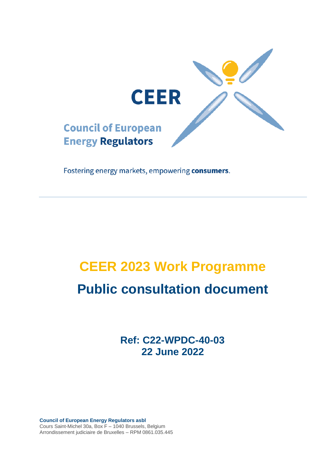

Fostering energy markets, empowering consumers.

# **CEER 2023 Work Programme Public consultation document**

**Ref: C22-WPDC-40-03 22 June 2022**

**Council of European Energy Regulators asbl** Cours Saint-Michel 30a, Box F – 1040 Brussels, Belgium Arrondissement judiciaire de Bruxelles – RPM 0861.035.445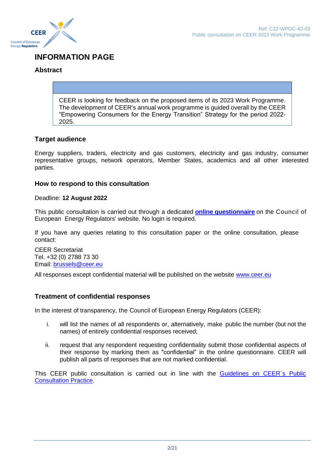

### **INFORMATION PAGE**

#### **Abstract**

CEER is looking for feedback on the proposed items of its 2023 Work Programme. The development of CEER's annual work programme is guided overall by the CEER "Empowering Consumers for the Energy Transition" Strategy for the period 2022- 2025.

#### **Target audience**

Energy suppliers, traders, electricity and gas customers, electricity and gas industry, consumer representative groups, network operators, Member States, academics and all other interested parties.

#### **How to respond to this consultation**

#### Deadline: **12 August 2022**

This public consultation is carried out through a dedicated **[online questionnaire](https://www.ceer.eu/2023-wp)** on the Council of European Energy Regulators' website. No login is required.

If you have any queries relating to this consultation paper or the online consultation, please contact:

CEER Secretariat Tel. +32 (0) 2788 73 30 Email: [brussels@ceer.eu](mailto:brussels@ceer.eu)

All responses except confidential material will be published on the website [www.ceer.eu](http://www.ceer.eu/)

#### **Treatment of confidential responses**

In the interest of transparency, the Council of European Energy Regulators (CEER):

- i. will list the names of all respondents or, alternatively, make public the number (but not the names) of entirely confidential responses received;
- ii. request that any respondent requesting confidentiality submit those confidential aspects of their response by marking them as "confidential" in the online questionnaire. CEER will publish all parts of responses that are not marked confidential.

This CEER public consultation is carried out in line with the [Guidelines on CEER´s Public](https://www.ceer.eu/documents/104400/3743733/C07-EP-16-03_PC-Guidelines_Rev_May2018/98d2da67-768c-ab01-1033-85fe47c173e2)  [Consultation Practice.](https://www.ceer.eu/documents/104400/3743733/C07-EP-16-03_PC-Guidelines_Rev_May2018/98d2da67-768c-ab01-1033-85fe47c173e2)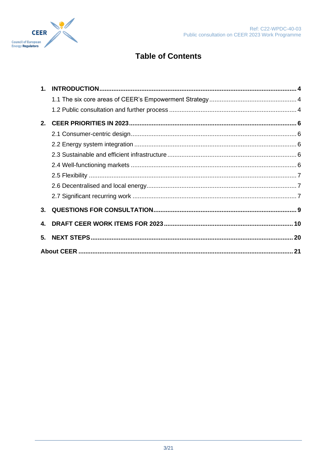

## **Table of Contents**

| 2. |  |
|----|--|
|    |  |
|    |  |
|    |  |
|    |  |
|    |  |
|    |  |
|    |  |
|    |  |
| 4. |  |
| 5. |  |
|    |  |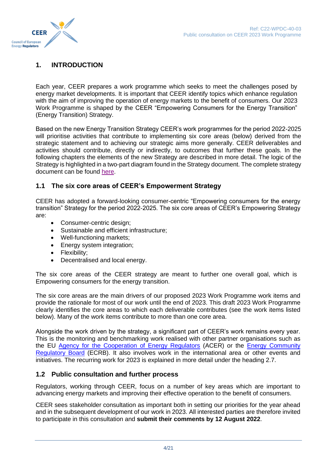

#### <span id="page-3-0"></span>**1. INTRODUCTION**

Each year, CEER prepares a work programme which seeks to meet the challenges posed by energy market developments. It is important that CEER identify topics which enhance regulation with the aim of improving the operation of energy markets to the benefit of consumers. Our 2023 Work Programme is shaped by the CEER "Empowering Consumers for the Energy Transition" (Energy Transition) Strategy.

Based on the new Energy Transition Strategy CEER's work programmes for the period 2022-2025 will prioritise activities that contribute to implementing six core areas (below) derived from the strategic statement and to achieving our strategic aims more generally. CEER deliverables and activities should contribute, directly or indirectly, to outcomes that further these goals. In the following chapters the elements of the new Strategy are described in more detail. The logic of the Strategy is highlighted in a two-part diagram found in the Strategy document. The complete strategy document can be found [here.](https://www.ceer.eu/documents/104400/-/-/4a783339-46cb-1e8c-c3de-c0fe7ea52076)

#### <span id="page-3-1"></span>**1.1 The six core areas of CEER's Empowerment Strategy**

CEER has adopted a forward-looking consumer-centric "Empowering consumers for the energy transition" Strategy for the period 2022-2025. The six core areas of CEER's Empowering Strategy are:

- Consumer-centric design;
- Sustainable and efficient infrastructure;
- Well-functioning markets;
- Energy system integration;
- Flexibility;
- Decentralised and local energy.

The six core areas of the CEER strategy are meant to further one overall goal, which is Empowering consumers for the energy transition.

The six core areas are the main drivers of our proposed 2023 Work Programme work items and provide the rationale for most of our work until the end of 2023. This draft 2023 Work Programme clearly identifies the core areas to which each deliverable contributes (see the work items listed below). Many of the work items contribute to more than one core area.

Alongside the work driven by the strategy, a significant part of CEER's work remains every year. This is the monitoring and benchmarking work realised with other partner organisations such as the EU [Agency for the Cooperation of Energy Regulators](https://www.acer.europa.eu/) (ACER) or the [Energy Community](https://www.energy-community.org/aboutus/institutions/ECRB.html)  [Regulatory Board](https://www.energy-community.org/aboutus/institutions/ECRB.html) (ECRB). It also involves work in the international area or other events and initiatives. The recurring work for 2023 is explained in more detail under the heading 2.7.

#### <span id="page-3-2"></span>**1.2 Public consultation and further process**

Regulators, working through CEER, focus on a number of key areas which are important to advancing energy markets and improving their effective operation to the benefit of consumers.

CEER sees stakeholder consultation as important both in setting our priorities for the year ahead and in the subsequent development of our work in 2023. All interested parties are therefore invited to participate in this consultation and **submit their comments by 12 August 2022**.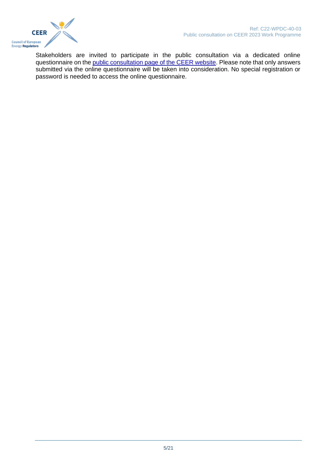

Stakeholders are invited to participate in the public consultation via a dedicated online questionnaire on th[e public consultation page of the CEER website.](https://www.ceer.eu/2023-wp) Please note that only answers submitted via the online questionnaire will be taken into consideration. No special registration or password is needed to access the online questionnaire.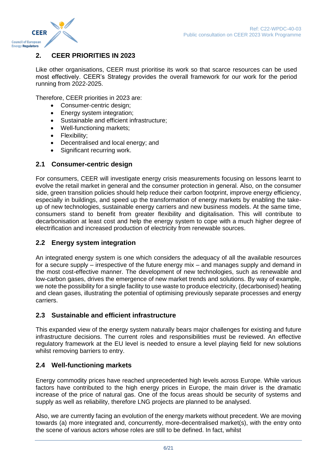

#### <span id="page-5-0"></span>**2. CEER PRIORITIES IN 2023**

Like other organisations, CEER must prioritise its work so that scarce resources can be used most effectively. CEER's Strategy provides the overall framework for our work for the period running from 2022-2025.

Therefore, CEER priorities in 2023 are:

- Consumer-centric design;
- Energy system integration;
- Sustainable and efficient infrastructure;
- Well-functioning markets;
- Flexibility:
- Decentralised and local energy; and
- Significant recurring work.

#### <span id="page-5-1"></span>**2.1 Consumer-centric design**

For consumers, CEER will investigate energy crisis measurements focusing on lessons learnt to evolve the retail market in general and the consumer protection in general. Also, on the consumer side, green transition policies should help reduce their carbon footprint, improve energy efficiency, especially in buildings, and speed up the transformation of energy markets by enabling the takeup of new technologies, sustainable energy carriers and new business models. At the same time, consumers stand to benefit from greater flexibility and digitalisation. This will contribute to decarbonisation at least cost and help the energy system to cope with a much higher degree of electrification and increased production of electricity from renewable sources.

#### <span id="page-5-2"></span>**2.2 Energy system integration**

An integrated energy system is one which considers the adequacy of all the available resources for a secure supply – irrespective of the future energy mix – and manages supply and demand in the most cost-effective manner. The development of new technologies, such as renewable and low-carbon gases, drives the emergence of new market trends and solutions. By way of example, we note the possibility for a single facility to use waste to produce electricity, (decarbonised) heating and clean gases, illustrating the potential of optimising previously separate processes and energy carriers.

#### <span id="page-5-3"></span>**2.3 Sustainable and efficient infrastructure**

This expanded view of the energy system naturally bears major challenges for existing and future infrastructure decisions. The current roles and responsibilities must be reviewed. An effective regulatory framework at the EU level is needed to ensure a level playing field for new solutions whilst removing barriers to entry.

#### <span id="page-5-4"></span>**2.4 Well-functioning markets**

Energy commodity prices have reached unprecedented high levels across Europe. While various factors have contributed to the high energy prices in Europe, the main driver is the dramatic increase of the price of natural gas. One of the focus areas should be security of systems and supply as well as reliability, therefore LNG projects are planned to be analysed.

Also, we are currently facing an evolution of the energy markets without precedent. We are moving towards (a) more integrated and, concurrently, more-decentralised market(s), with the entry onto the scene of various actors whose roles are still to be defined. In fact, whilst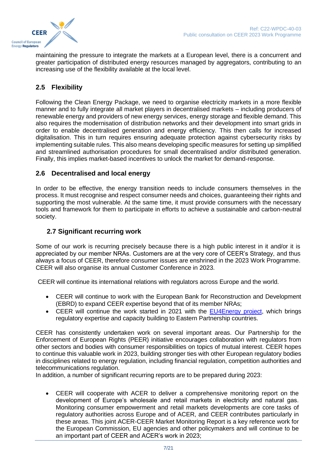

maintaining the pressure to integrate the markets at a European level, there is a concurrent and greater participation of distributed energy resources managed by aggregators, contributing to an increasing use of the flexibility available at the local level.

#### <span id="page-6-0"></span>**2.5 Flexibility**

Following the Clean Energy Package, we need to organise electricity markets in a more flexible manner and to fully integrate all market players in decentralised markets – including producers of renewable energy and providers of new energy services, energy storage and flexible demand. This also requires the modernisation of distribution networks and their development into smart grids in order to enable decentralised generation and energy efficiency. This then calls for increased digitalisation. This in turn requires ensuring adequate protection against cybersecurity risks by implementing suitable rules. This also means developing specific measures for setting up simplified and streamlined authorisation procedures for small decentralised and/or distributed generation. Finally, this implies market-based incentives to unlock the market for demand-response.

#### <span id="page-6-1"></span>**2.6 Decentralised and local energy**

In order to be effective, the energy transition needs to include consumers themselves in the process. It must recognise and respect consumer needs and choices, guaranteeing their rights and supporting the most vulnerable. At the same time, it must provide consumers with the necessary tools and framework for them to participate in efforts to achieve a sustainable and carbon-neutral society.

#### <span id="page-6-2"></span>**2.7 Significant recurring work**

Some of our work is recurring precisely because there is a high public interest in it and/or it is appreciated by our member NRAs. Customers are at the very core of CEER's Strategy, and thus always a focus of CEER, therefore consumer issues are enshrined in the 2023 Work Programme. CEER will also organise its annual Customer Conference in 2023.

CEER will continue its international relations with regulators across Europe and the world.

- CEER will continue to work with the European Bank for Reconstruction and Development (EBRD) to expand CEER expertise beyond that of its member NRAs;
- CEER will continue the work started in 2021 with the [EU4Energy](https://www.ceer.eu/eu4energy) project, which brings regulatory expertise and capacity building to Eastern Partnership countries.

CEER has consistently undertaken work on several important areas. Our Partnership for the Enforcement of European Rights (PEER) initiative encourages collaboration with regulators from other sectors and bodies with consumer responsibilities on topics of mutual interest. CEER hopes to continue this valuable work in 2023, building stronger ties with other European regulatory bodies in disciplines related to energy regulation, including financial regulation, competition authorities and telecommunications regulation.

In addition, a number of significant recurring reports are to be prepared during 2023:

• CEER will cooperate with ACER to deliver a comprehensive monitoring report on the development of Europe's wholesale and retail markets in electricity and natural gas. Monitoring consumer empowerment and retail markets developments are core tasks of regulatory authorities across Europe and of ACER, and CEER contributes particularly in these areas. This joint ACER-CEER Market Monitoring Report is a key reference work for the European Commission, EU agencies and other policymakers and will continue to be an important part of CEER and ACER's work in 2023;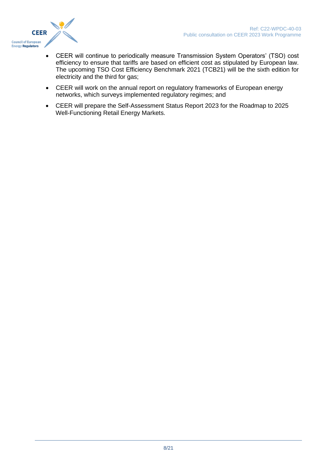

- CEER will continue to periodically measure Transmission System Operators' (TSO) cost efficiency to ensure that tariffs are based on efficient cost as stipulated by European law. The upcoming TSO Cost Efficiency Benchmark 2021 (TCB21) will be the sixth edition for electricity and the third for gas;
- CEER will work on the annual report on regulatory frameworks of European energy networks, which surveys implemented regulatory regimes; and
- CEER will prepare the Self-Assessment Status Report 2023 for the Roadmap to 2025 Well-Functioning Retail Energy Markets.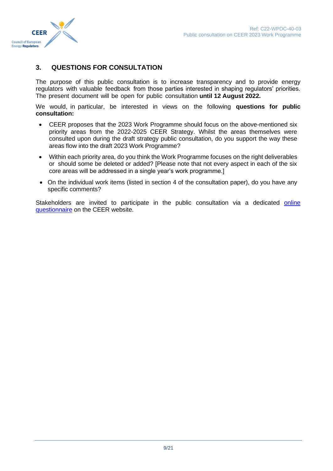



#### <span id="page-8-0"></span>**3. QUESTIONS FOR CONSULTATION**

The purpose of this public consultation is to increase transparency and to provide energy regulators with valuable feedback from those parties interested in shaping regulators' priorities. The present document will be open for public consultation **until 12 August 2022.**

We would, in particular, be interested in views on the following **questions for public consultation:**

- CEER proposes that the 2023 Work Programme should focus on the above-mentioned six priority areas from the 2022-2025 CEER Strategy. Whilst the areas themselves were consulted upon during the draft strategy public consultation, do you support the way these areas flow into the draft 2023 Work Programme?
- Within each priority area, do you think the Work Programme focuses on the right deliverables or should some be deleted or added? [Please note that not every aspect in each of the six core areas will be addressed in a single year's work programme.]
- On the individual work items (listed in section [4](#page-9-0) of the consultation paper), do you have any specific comments?

Stakeholders are invited to participate in the public consultation via a dedicated online [questionnaire](https://www.ceer.eu/2023-wp) on the CEER website.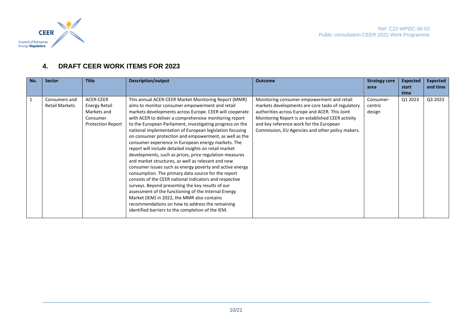

#### **4. DRAFT CEER WORK ITEMS FOR 2023**

<span id="page-9-0"></span>

| <b>Description/output</b><br><b>Outcome</b><br><b>Strategy core</b><br><b>Expected</b>                                                                                                                                                                                                                                                                                                                                                                                                                                                                                                                                                                                                                                                                                                                                                                                                                                                                                                                                                                                                                                                                                                                                                                                                                                                                                                                                                                   | <b>Expected</b> |
|----------------------------------------------------------------------------------------------------------------------------------------------------------------------------------------------------------------------------------------------------------------------------------------------------------------------------------------------------------------------------------------------------------------------------------------------------------------------------------------------------------------------------------------------------------------------------------------------------------------------------------------------------------------------------------------------------------------------------------------------------------------------------------------------------------------------------------------------------------------------------------------------------------------------------------------------------------------------------------------------------------------------------------------------------------------------------------------------------------------------------------------------------------------------------------------------------------------------------------------------------------------------------------------------------------------------------------------------------------------------------------------------------------------------------------------------------------|-----------------|
| start<br>area                                                                                                                                                                                                                                                                                                                                                                                                                                                                                                                                                                                                                                                                                                                                                                                                                                                                                                                                                                                                                                                                                                                                                                                                                                                                                                                                                                                                                                            | end time        |
| time                                                                                                                                                                                                                                                                                                                                                                                                                                                                                                                                                                                                                                                                                                                                                                                                                                                                                                                                                                                                                                                                                                                                                                                                                                                                                                                                                                                                                                                     |                 |
| Q3 2023<br>ACER-CEER<br>Q1 2023<br>This annual ACER-CEER Market Monitoring Report (MMR)<br>Monitoring consumer empowerment and retail<br>Consumer-<br><b>Energy Retail</b><br>aims to monitor consumer empowerment and retail<br>markets developments are core tasks of regulatory<br>centric<br>Markets and<br>markets developments across Europe. CEER will cooperate<br>authorities across Europe and ACER. This Joint<br>design<br>with ACER to deliver a comprehensive monitoring report<br>Monitoring Report is an established CEER activity<br>Consumer<br><b>Protection Report</b><br>to the European Parliament, investigating progress on the<br>and key reference work for the European<br>national implementation of European legislation focusing<br>Commission, EU Agencies and other policy makers.<br>on consumer protection and empowerment, as well as the<br>consumer experience in European energy markets. The<br>report will include detailed insights on retail market<br>developments, such as prices, price regulation measures<br>and market structures, as well as relevant and new<br>consumer issues such as energy poverty and active energy<br>consumption. The primary data source for the report<br>consists of the CEER national indicators and respective<br>surveys. Beyond presenting the key results of our<br>assessment of the functioning of the Internal Energy<br>Market (IEM) in 2022, the MMR also contains |                 |
| recommendations on how to address the remaining<br>identified barriers to the completion of the IEM.                                                                                                                                                                                                                                                                                                                                                                                                                                                                                                                                                                                                                                                                                                                                                                                                                                                                                                                                                                                                                                                                                                                                                                                                                                                                                                                                                     |                 |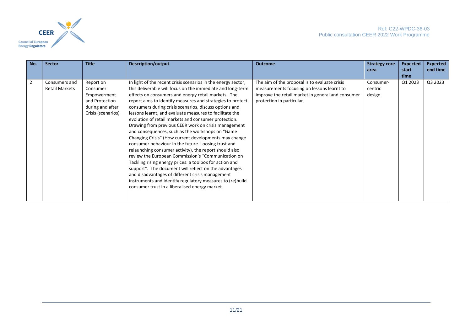

| No. | <b>Sector</b>                          | <b>Title</b>                                                                                     | <b>Description/output</b>                                                                                                                                                                                                                                                                                                                                                                                                                                                                                                                                                                                                                                                                                                                                                                                                                                                                                                                                                                                                                                         | <b>Outcome</b>                                                                                                                                                                | <b>Strategy core</b><br>area   | <b>Expected</b><br>start | <b>Expected</b><br>end time |
|-----|----------------------------------------|--------------------------------------------------------------------------------------------------|-------------------------------------------------------------------------------------------------------------------------------------------------------------------------------------------------------------------------------------------------------------------------------------------------------------------------------------------------------------------------------------------------------------------------------------------------------------------------------------------------------------------------------------------------------------------------------------------------------------------------------------------------------------------------------------------------------------------------------------------------------------------------------------------------------------------------------------------------------------------------------------------------------------------------------------------------------------------------------------------------------------------------------------------------------------------|-------------------------------------------------------------------------------------------------------------------------------------------------------------------------------|--------------------------------|--------------------------|-----------------------------|
|     |                                        |                                                                                                  |                                                                                                                                                                                                                                                                                                                                                                                                                                                                                                                                                                                                                                                                                                                                                                                                                                                                                                                                                                                                                                                                   |                                                                                                                                                                               |                                | time                     |                             |
|     | Consumers and<br><b>Retail Markets</b> | Report on<br>Consumer<br>Empowerment<br>and Protection<br>during and after<br>Crisis (scenarios) | In light of the recent crisis scenarios in the energy sector,<br>this deliverable will focus on the immediate and long-term<br>effects on consumers and energy retail markets. The<br>report aims to identify measures and strategies to protect<br>consumers during crisis scenarios, discuss options and<br>lessons learnt, and evaluate measures to facilitate the<br>evolution of retail markets and consumer protection.<br>Drawing from previous CEER work on crisis management<br>and consequences, such as the workshops on "Game"<br>Changing Crisis" (How current developments may change<br>consumer behaviour in the future. Loosing trust and<br>relaunching consumer activity), the report should also<br>review the European Commission's "Communication on<br>Tackling rising energy prices: a toolbox for action and<br>support". The document will reflect on the advantages<br>and disadvantages of different crisis management<br>instruments and identify regulatory measures to (re)build<br>consumer trust in a liberalised energy market. | The aim of the proposal is to evaluate crisis<br>measurements focusing on lessons learnt to<br>improve the retail market in general and consumer<br>protection in particular. | Consumer-<br>centric<br>design | Q1 2023                  | Q3 2023                     |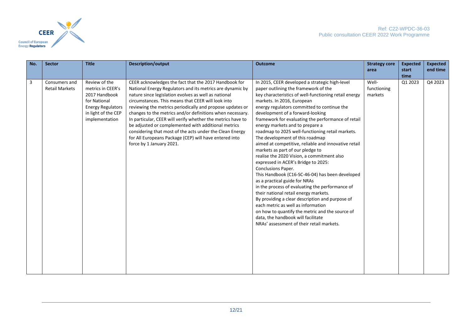

| No. | <b>Sector</b>                          | <b>Title</b>                                                                                                                             | <b>Description/output</b>                                                                                                                                                                                                                                                                                                                                                                                                                                                                                                                                                                                                          | <b>Outcome</b>                                                                                                                                                                                                                                                                                                                                                                                                                                                                                                                                                                                                                                                                                                                                                                                                                                                                                                                                                                                                                                                         | <b>Strategy core</b><br>area    | <b>Expected</b><br>start<br>time | <b>Expected</b><br>end time |
|-----|----------------------------------------|------------------------------------------------------------------------------------------------------------------------------------------|------------------------------------------------------------------------------------------------------------------------------------------------------------------------------------------------------------------------------------------------------------------------------------------------------------------------------------------------------------------------------------------------------------------------------------------------------------------------------------------------------------------------------------------------------------------------------------------------------------------------------------|------------------------------------------------------------------------------------------------------------------------------------------------------------------------------------------------------------------------------------------------------------------------------------------------------------------------------------------------------------------------------------------------------------------------------------------------------------------------------------------------------------------------------------------------------------------------------------------------------------------------------------------------------------------------------------------------------------------------------------------------------------------------------------------------------------------------------------------------------------------------------------------------------------------------------------------------------------------------------------------------------------------------------------------------------------------------|---------------------------------|----------------------------------|-----------------------------|
| 3   | Consumers and<br><b>Retail Markets</b> | Review of the<br>metrics in CEER's<br>2017 Handbook<br>for National<br><b>Energy Regulators</b><br>in light of the CEP<br>implementation | CEER acknowledges the fact that the 2017 Handbook for<br>National Energy Regulators and its metrics are dynamic by<br>nature since legislation evolves as well as national<br>circumstances. This means that CEER will look into<br>reviewing the metrics periodically and propose updates or<br>changes to the metrics and/or definitions when necessary.<br>In particular, CEER will verify whether the metrics have to<br>be adjusted or complemented with additional metrics<br>considering that most of the acts under the Clean Energy<br>for All Europeans Package (CEP) will have entered into<br>force by 1 January 2021. | In 2015, CEER developed a strategic high-level<br>paper outlining the framework of the<br>key characteristics of well-functioning retail energy<br>markets. In 2016, European<br>energy regulators committed to continue the<br>development of a forward-looking<br>framework for evaluating the performance of retail<br>energy markets and to prepare a<br>roadmap to 2025 well-functioning retail markets.<br>The development of this roadmap<br>aimed at competitive, reliable and innovative retail<br>markets as part of our pledge to<br>realise the 2020 Vision, a commitment also<br>expressed in ACER's Bridge to 2025:<br>Conclusions Paper.<br>This Handbook (C16-SC-46-04) has been developed<br>as a practical guide for NRAs<br>in the process of evaluating the performance of<br>their national retail energy markets.<br>By providing a clear description and purpose of<br>each metric as well as information<br>on how to quantify the metric and the source of<br>data, the handbook will facilitate<br>NRAs' assessment of their retail markets. | Well-<br>functioning<br>markets | Q1 2023                          | Q4 2023                     |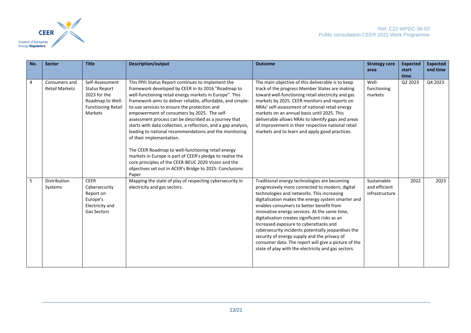

| No. | <b>Sector</b>                          | <b>Title</b>                                                                                                        | <b>Description/output</b>                                                                                                                                                                                                                                                                                                                                                                                                                                                                                                                                                                                                                                                                                                                                                                            | <b>Outcome</b>                                                                                                                                                                                                                                                                                                                                                                                                                                                                                                                                                                                                     | <b>Strategy core</b>                           | <b>Expected</b> | <b>Expected</b> |
|-----|----------------------------------------|---------------------------------------------------------------------------------------------------------------------|------------------------------------------------------------------------------------------------------------------------------------------------------------------------------------------------------------------------------------------------------------------------------------------------------------------------------------------------------------------------------------------------------------------------------------------------------------------------------------------------------------------------------------------------------------------------------------------------------------------------------------------------------------------------------------------------------------------------------------------------------------------------------------------------------|--------------------------------------------------------------------------------------------------------------------------------------------------------------------------------------------------------------------------------------------------------------------------------------------------------------------------------------------------------------------------------------------------------------------------------------------------------------------------------------------------------------------------------------------------------------------------------------------------------------------|------------------------------------------------|-----------------|-----------------|
|     |                                        |                                                                                                                     |                                                                                                                                                                                                                                                                                                                                                                                                                                                                                                                                                                                                                                                                                                                                                                                                      |                                                                                                                                                                                                                                                                                                                                                                                                                                                                                                                                                                                                                    | area                                           | start<br>time   | end time        |
| 4   | Consumers and<br><b>Retail Markets</b> | Self-Assessment<br><b>Status Report</b><br>2023 for the<br>Roadmap to Well-<br><b>Functioning Retail</b><br>Markets | This fifth Status Report continues to implement the<br>framework developed by CEER in its 2016 "Roadmap to<br>well-functioning retail energy markets in Europe". This<br>framework aims to deliver reliable, affordable, and simple-<br>to-use services to ensure the protection and<br>empowerment of consumers by 2025. The self-<br>assessment process can be described as a journey that<br>starts with data collection, a reflection, and a gap analysis,<br>leading to national recommendations and the monitoring<br>of their implementation.<br>The CEER Roadmap to well-functioning retail energy<br>markets in Europe is part of CEER's pledge to realise the<br>core principles of the CEER-BEUC 2020 Vision and the<br>objectives set out in ACER's Bridge to 2025: Conclusions<br>Paper | The main objective of this deliverable is to keep<br>track of the progress Member States are making<br>toward well-functioning retail electricity and gas<br>markets by 2025. CEER monitors and reports on<br>NRAs' self-assessment of national retail energy<br>markets on an annual basis until 2025. This<br>deliverable allows NRAs to identify gaps and areas<br>of improvement in their respective national retail<br>markets and to learn and apply good practices.                                                                                                                                         | Well-<br>functioning<br>markets                | Q2 2023         | Q4 2023         |
| 5   | Distribution<br>Systems                | <b>CEER</b><br>Cybersecurity<br>Report on<br>Europe's<br>Electricity and<br><b>Gas Sectors</b>                      | Mapping the state of play of respecting cybersecurity in<br>electricity and gas sectors.                                                                                                                                                                                                                                                                                                                                                                                                                                                                                                                                                                                                                                                                                                             | Traditional energy technologies are becoming<br>progressively more connected to modern, digital<br>technologies and networks. This increasing<br>digitalisation makes the energy system smarter and<br>enables consumers to better benefit from<br>innovative energy services. At the same time,<br>digitalisation creates significant risks as an<br>increased exposure to cyberattacks and<br>cybersecurity incidents potentially jeopardises the<br>security of energy supply and the privacy of<br>consumer data. The report will give a picture of the<br>state of play with the electricity and gas sectors. | Sustainable<br>and efficient<br>infrastructure | 2022            | 2023            |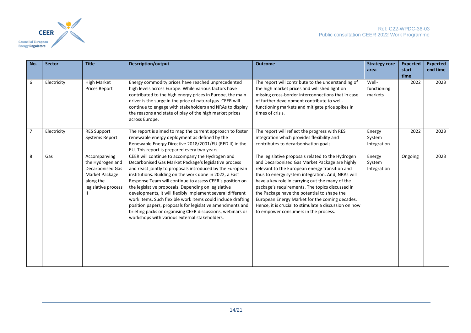

| No. | <b>Sector</b> | <b>Title</b>                                                                                                            | <b>Description/output</b>                                                                                                                                                                                                                                                                                                                                                                                                                                                                                                                                                                                                                                     | <b>Outcome</b>                                                                                                                                                                                                                                                                                                                                                                                                                                                                                                     | <b>Strategy core</b><br>area    | <b>Expected</b><br>start | <b>Expected</b><br>end time |
|-----|---------------|-------------------------------------------------------------------------------------------------------------------------|---------------------------------------------------------------------------------------------------------------------------------------------------------------------------------------------------------------------------------------------------------------------------------------------------------------------------------------------------------------------------------------------------------------------------------------------------------------------------------------------------------------------------------------------------------------------------------------------------------------------------------------------------------------|--------------------------------------------------------------------------------------------------------------------------------------------------------------------------------------------------------------------------------------------------------------------------------------------------------------------------------------------------------------------------------------------------------------------------------------------------------------------------------------------------------------------|---------------------------------|--------------------------|-----------------------------|
| 6   | Electricity   | <b>High Market</b><br><b>Prices Report</b>                                                                              | Energy commodity prices have reached unprecedented<br>high levels across Europe. While various factors have<br>contributed to the high energy prices in Europe, the main<br>driver is the surge in the price of natural gas. CEER will<br>continue to engage with stakeholders and NRAs to display<br>the reasons and state of play of the high market prices<br>across Europe.                                                                                                                                                                                                                                                                               | The report will contribute to the understanding of<br>the high market prices and will shed light on<br>missing cross-border interconnections that in case<br>of further development contribute to well-<br>functioning markets and mitigate price spikes in<br>times of crisis.                                                                                                                                                                                                                                    | Well-<br>functioning<br>markets | time<br>2022             | 2023                        |
| 7   | Electricity   | <b>RES Support</b><br>Systems Report                                                                                    | The report is aimed to map the current approach to foster<br>renewable energy deployment as defined by the<br>Renewable Energy Directive 2018/2001/EU (RED II) in the<br>EU. This report is prepared every two years.                                                                                                                                                                                                                                                                                                                                                                                                                                         | The report will reflect the progress with RES<br>integration which provides flexibility and<br>contributes to decarbonisation goals.                                                                                                                                                                                                                                                                                                                                                                               | Energy<br>System<br>Integration | 2022                     | 2023                        |
| 8   | Gas           | Accompanying<br>the Hydrogen and<br><b>Decarbonised Gas</b><br>Market Package<br>along the<br>legislative process<br>Ш. | CEER will continue to accompany the Hydrogen and<br>Decarbonised Gas Market Package's legislative process<br>and react jointly to proposals introduced by the European<br>institutions. Building on the work done in 2022, a Fast<br>Response Team will continue to assess CEER's position on<br>the legislative proposals. Depending on legislative<br>developments, it will flexibly implement several different<br>work items. Such flexible work items could include drafting<br>position papers, proposals for legislative amendments and<br>briefing packs or organising CEER discussions, webinars or<br>workshops with various external stakeholders. | The legislative proposals related to the Hydrogen<br>and Decarbonised Gas Market Package are highly<br>relevant to the European energy transition and<br>thus to energy system integration. And, NRAs will<br>have a key role in carrying out the many of the<br>package's requirements. The topics discussed in<br>the Package have the potential to shape the<br>European Energy Market for the coming decades.<br>Hence, it is crucial to stimulate a discussion on how<br>to empower consumers in the process. | Energy<br>System<br>Integration | Ongoing                  | 2023                        |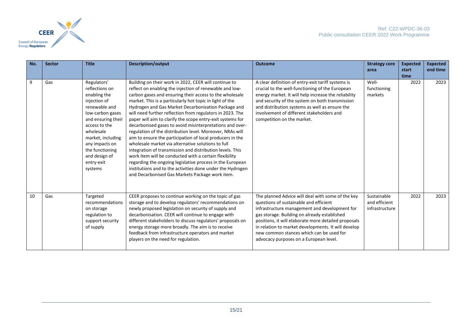

| No. | <b>Sector</b> | <b>Title</b>                                                                                                                                                                                                                                               | <b>Description/output</b>                                                                                                                                                                                                                                                                                                                                                                                                                                                                                                                                                                                                                                                                                                                                                                                                                                                                                                                                                  | <b>Outcome</b>                                                                                                                                                                                                                                                                                                                                                                                    | <b>Strategy core</b><br>area                   | <b>Expected</b><br>start<br>time | <b>Expected</b><br>end time |
|-----|---------------|------------------------------------------------------------------------------------------------------------------------------------------------------------------------------------------------------------------------------------------------------------|----------------------------------------------------------------------------------------------------------------------------------------------------------------------------------------------------------------------------------------------------------------------------------------------------------------------------------------------------------------------------------------------------------------------------------------------------------------------------------------------------------------------------------------------------------------------------------------------------------------------------------------------------------------------------------------------------------------------------------------------------------------------------------------------------------------------------------------------------------------------------------------------------------------------------------------------------------------------------|---------------------------------------------------------------------------------------------------------------------------------------------------------------------------------------------------------------------------------------------------------------------------------------------------------------------------------------------------------------------------------------------------|------------------------------------------------|----------------------------------|-----------------------------|
| 9   | Gas           | Regulators'<br>reflections on<br>enabling the<br>injection of<br>renewable and<br>low-carbon gases<br>and ensuring their<br>access to the<br>wholesale<br>market, including<br>any impacts on<br>the functioning<br>and design of<br>entry-exit<br>systems | Building on their work in 2022, CEER will continue to<br>reflect on enabling the injection of renewable and low-<br>carbon gases and ensuring their access to the wholesale<br>market. This is a particularly hot topic in light of the<br>Hydrogen and Gas Market Decarbonisation Package and<br>will need further reflection from regulators in 2023. The<br>paper will aim to clarify the scope entry-exit systems for<br>decarbonised gases to avoid misinterpretations and over-<br>regulation of the distribution level. Moreover, NRAs will<br>aim to ensure the participation of local producers in the<br>wholesale market via alternative solutions to full<br>integration of transmission and distribution levels. This<br>work item will be conducted with a certain flexibility<br>regarding the ongoing legislative process in the European<br>institutions and to the activities done under the Hydrogen<br>and Decarbonised Gas Markets Package work item. | A clear definition of entry-exit tariff systems is<br>crucial to the well-functioning of the European<br>energy market. It will help increase the reliability<br>and security of the system on both transmission<br>and distribution systems as well as ensure the<br>involvement of different stakeholders and<br>competition on the market.                                                     | Well-<br>functioning<br>markets                | 2022                             | 2023                        |
| 10  | Gas           | Targeted<br>recommendations<br>on storage<br>regulation to<br>support security<br>of supply                                                                                                                                                                | CEER proposes to continue working on the topic of gas<br>storage and to develop regulators' recommendations on<br>newly proposed legislation on security of supply and<br>decarbonisation. CEER will continue to engage with<br>different stakeholders to discuss regulators' proposals on<br>energy storage more broadly. The aim is to receive<br>feedback from infrastructure operators and market<br>players on the need for regulation.                                                                                                                                                                                                                                                                                                                                                                                                                                                                                                                               | The planned Advice will deal with some of the key<br>questions of sustainable and efficient<br>infrastructure management and development for<br>gas storage. Building on already established<br>positions, it will elaborate more detailed proposals<br>in relation to market developments. It will develop<br>new common stances which can be used for<br>advocacy purposes on a European level. | Sustainable<br>and efficient<br>infrastructure | 2022                             | 2023                        |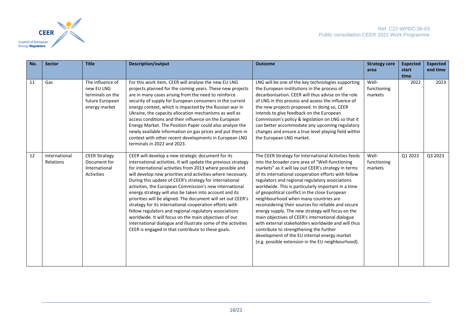

| No. | <b>Sector</b>              | <b>Title</b>                                                                           | <b>Description/output</b>                                                                                                                                                                                                                                                                                                                                                                                                                                                                                                                                                                                                                                                                                                                                                                              | <b>Outcome</b>                                                                                                                                                                                                                                                                                                                                                                                                                                                                                                                                                                                                                                                                                                                                                                                      | <b>Strategy core</b>            | <b>Expected</b> | <b>Expected</b> |
|-----|----------------------------|----------------------------------------------------------------------------------------|--------------------------------------------------------------------------------------------------------------------------------------------------------------------------------------------------------------------------------------------------------------------------------------------------------------------------------------------------------------------------------------------------------------------------------------------------------------------------------------------------------------------------------------------------------------------------------------------------------------------------------------------------------------------------------------------------------------------------------------------------------------------------------------------------------|-----------------------------------------------------------------------------------------------------------------------------------------------------------------------------------------------------------------------------------------------------------------------------------------------------------------------------------------------------------------------------------------------------------------------------------------------------------------------------------------------------------------------------------------------------------------------------------------------------------------------------------------------------------------------------------------------------------------------------------------------------------------------------------------------------|---------------------------------|-----------------|-----------------|
|     |                            |                                                                                        |                                                                                                                                                                                                                                                                                                                                                                                                                                                                                                                                                                                                                                                                                                                                                                                                        |                                                                                                                                                                                                                                                                                                                                                                                                                                                                                                                                                                                                                                                                                                                                                                                                     | area                            | start           | end time        |
|     |                            |                                                                                        |                                                                                                                                                                                                                                                                                                                                                                                                                                                                                                                                                                                                                                                                                                                                                                                                        |                                                                                                                                                                                                                                                                                                                                                                                                                                                                                                                                                                                                                                                                                                                                                                                                     |                                 | time            |                 |
| 11  | Gas                        | The influence of<br>new EU LNG<br>terminals on the<br>future European<br>energy market | For this work item, CEER will analyse the new EU LNG<br>projects planned for the coming years. These new projects<br>are in many cases arising from the need to reinforce<br>security of supply for European consumers in the current<br>energy context, which is impacted by the Russian war in<br>Ukraine, the capacity allocation mechanisms as well as<br>access conditions and their influence on the European<br>Energy Market. The Position Paper could also analyse the<br>newly available information on gas prices and put them in<br>context with other recent developments in European LNG<br>terminals in 2022 and 2023.                                                                                                                                                                  | LNG will be one of the key technologies supporting<br>the European institutions in the process of<br>decarbonisation. CEER will thus advise on the role<br>of LNG in this process and assess the influence of<br>the new projects proposed. In doing so, CEER<br>intends to give feedback on the European<br>Commission's policy & legislation on LNG so that it<br>can better accommodate any upcoming regulatory<br>changes and ensure a true level playing field within<br>the European LNG market.                                                                                                                                                                                                                                                                                              | Well-<br>functioning<br>markets | 2022            | 2023            |
| 12  | International<br>Relations | <b>CEER Strategy</b><br>Document for<br>International<br><b>Activities</b>             | CEER will develop a new strategic document for its<br>international activities. It will update the previous strategy<br>for international activities from 2013 where possible and<br>will develop new priorities and activities where necessary.<br>During this update of CEER's strategy for international<br>activities, the European Commission's new international<br>energy strategy will also be taken into account and its<br>priorities will be aligned. The document will set out CEER's<br>strategy for its international cooperation efforts with<br>fellow regulators and regional regulatory associations<br>worldwide. It will focus on the main objectives of our<br>international dialogue and illustrate some of the activities<br>CEER is engaged in that contribute to these goals. | The CEER Strategy for International Activities feeds<br>into the broader core area of "Well-functioning<br>markets" as it will lay out CEER's strategy in terms<br>of its international cooperation efforts with fellow<br>regulators and regional regulatory associations<br>worldwide. This is particularly important in a time<br>of geopolitical conflict in the close European<br>neighbourhood when many countries are<br>reconsidering their sources for reliable and secure<br>energy supply. The new strategy will focus on the<br>main objectives of CEER's international dialogue<br>with external stakeholders worldwide and will thus<br>contribute to strengthening the further<br>development of the EU internal energy market<br>(e.g. possible extension in the EU neighbourhood). | Well-<br>functioning<br>markets | Q1 2023         | Q3 2023         |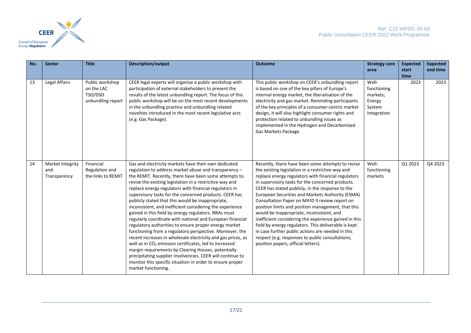

| No. | <b>Sector</b>                           | <b>Title</b>                                                  | <b>Description/output</b>                                                                                                                                                                                                                                                                                                                                                                                                                                                                                                                                                                                                                                                                                                                                                                                                                                                                                                                                                                                                                                        | <b>Outcome</b>                                                                                                                                                                                                                                                                                                                                                                                                                                                                                                                                                                                                                                                                                                                                   | <b>Strategy core</b><br>area                                        | <b>Expected</b><br>start | <b>Expected</b><br>end time |
|-----|-----------------------------------------|---------------------------------------------------------------|------------------------------------------------------------------------------------------------------------------------------------------------------------------------------------------------------------------------------------------------------------------------------------------------------------------------------------------------------------------------------------------------------------------------------------------------------------------------------------------------------------------------------------------------------------------------------------------------------------------------------------------------------------------------------------------------------------------------------------------------------------------------------------------------------------------------------------------------------------------------------------------------------------------------------------------------------------------------------------------------------------------------------------------------------------------|--------------------------------------------------------------------------------------------------------------------------------------------------------------------------------------------------------------------------------------------------------------------------------------------------------------------------------------------------------------------------------------------------------------------------------------------------------------------------------------------------------------------------------------------------------------------------------------------------------------------------------------------------------------------------------------------------------------------------------------------------|---------------------------------------------------------------------|--------------------------|-----------------------------|
| 13  | Legal Affairs                           | Public workshop<br>on the LAC<br>TSO/DSO<br>unbundling report | CEER legal experts will organise a public workshop with<br>participation of external stakeholders to present the<br>results of the latest unbundling report. The focus of this<br>public workshop will be on the most recent developments<br>in the unbundling practice and unbundling related<br>novelties introduced in the most recent legislative acts<br>(e.g. Gas Package).                                                                                                                                                                                                                                                                                                                                                                                                                                                                                                                                                                                                                                                                                | This public workshop on CEER's unbundling report<br>is based on one of the key pillars of Europe's<br>internal energy market, the liberalisation of the<br>electricity and gas market. Reminding participants<br>of the key principles of a consumer-centric market<br>design, it will also highlight consumer rights and<br>protection related to unbundling issues as<br>implemented in the Hydrogen and Decarbonised<br>Gas Markets Package.                                                                                                                                                                                                                                                                                                  | Well-<br>functioning<br>markets;<br>Energy<br>System<br>Integration | time<br>2023             | 2023                        |
| 14  | Market Integrity<br>and<br>Transparency | Financial<br>Regulation and<br>the links to REMIT             | Gas and electricity markets have their own dedicated<br>regulation to address market abuse and transparency -<br>the REMIT. Recently, there have been some attempts to<br>revise the existing legislation in a restrictive way and<br>replace energy regulators with financial regulators in<br>supervisory tasks for the concerned products. CEER has<br>publicly stated that this would be inappropriate,<br>inconsistent, and inefficient considering the experience<br>gained in this field by energy regulators. NRAs must<br>regularly coordinate with national and European financial<br>regulatory authorities to ensure proper energy market<br>functioning from a regulatory perspective. Moreover, the<br>recent increases in wholesale electricity and gas prices, as<br>well as in CO <sub>2</sub> emission certificates, led to increased<br>margin requirements by Clearing Houses, potentially<br>precipitating supplier insolvencies. CEER will continue to<br>monitor this specific situation in order to ensure proper<br>market functioning. | Recently, there have been some attempts to revise<br>the existing legislation in a restrictive way and<br>replace energy regulators with financial regulators<br>in supervisory tasks for the concerned products.<br>CEER has stated publicly, in the response to the<br>European Securities and Markets Authority (ESMA)<br>Consultation Paper on MiFID II review report on<br>position limits and position management, that this<br>would be inappropriate, inconsistent, and<br>inefficient considering the experience gained in this<br>field by energy regulators. This deliverable is kept<br>in case further public actions are needed in this<br>respect (e.g. responses to public consultations,<br>position papers, official letters). | Well-<br>functioning<br>markets                                     | Q1 2023                  | Q4 2023                     |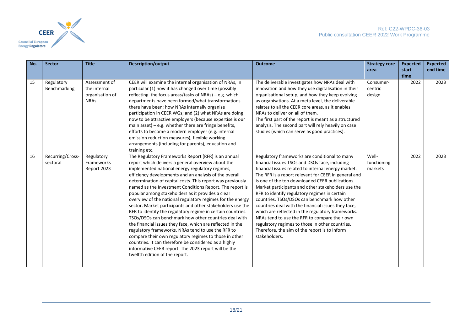

| No. | <b>Sector</b>                | <b>Title</b>                                                    | <b>Description/output</b>                                                                                                                                                                                                                                                                                                                                                                                                                                                                                                                                                                                                                                                                                                                                                                                                                                                                                                                                                                  | <b>Outcome</b>                                                                                                                                                                                                                                                                                                                                                                                                                                                                                                                                                                                                                                                                                             | <b>Strategy core</b>            | <b>Expected</b> | <b>Expected</b> |
|-----|------------------------------|-----------------------------------------------------------------|--------------------------------------------------------------------------------------------------------------------------------------------------------------------------------------------------------------------------------------------------------------------------------------------------------------------------------------------------------------------------------------------------------------------------------------------------------------------------------------------------------------------------------------------------------------------------------------------------------------------------------------------------------------------------------------------------------------------------------------------------------------------------------------------------------------------------------------------------------------------------------------------------------------------------------------------------------------------------------------------|------------------------------------------------------------------------------------------------------------------------------------------------------------------------------------------------------------------------------------------------------------------------------------------------------------------------------------------------------------------------------------------------------------------------------------------------------------------------------------------------------------------------------------------------------------------------------------------------------------------------------------------------------------------------------------------------------------|---------------------------------|-----------------|-----------------|
|     |                              |                                                                 |                                                                                                                                                                                                                                                                                                                                                                                                                                                                                                                                                                                                                                                                                                                                                                                                                                                                                                                                                                                            |                                                                                                                                                                                                                                                                                                                                                                                                                                                                                                                                                                                                                                                                                                            | area                            | start<br>time   | end time        |
| 15  | Regulatory<br>Benchmarking   | Assessment of<br>the internal<br>organisation of<br><b>NRAs</b> | CEER will examine the internal organisation of NRAs, in<br>particular (1) how it has changed over time (possibly<br>reflecting the focus areas/tasks of NRAs) - e.g. which<br>departments have been formed/what transformations<br>there have been; how NRAs internally organise<br>participation in CEER WGs; and (2) what NRAs are doing<br>now to be attractive employers (because expertise is our<br>main asset) $-$ e.g. whether there are fringe benefits,<br>efforts to become a modern employer (e.g. internal<br>emission reduction measures), flexible working<br>arrangements (including for parents), education and<br>training etc.                                                                                                                                                                                                                                                                                                                                          | The deliverable investigates how NRAs deal with<br>innovation and how they use digitalisation in their<br>organisational setup, and how they keep evolving<br>as organisations. At a meta level, the deliverable<br>relates to all the CEER core areas, as it enables<br>NRAs to deliver on all of them.<br>The first part of the report is meant as a structured<br>analysis. The second part will rely heavily on case<br>studies (which can serve as good practices).                                                                                                                                                                                                                                   | Consumer-<br>centric<br>design  | 2022            | 2023            |
| 16  | Recurring/Cross-<br>sectoral | Regulatory<br>Frameworks<br>Report 2023                         | The Regulatory Frameworks Report (RFR) is an annual<br>report which delivers a general overview about the<br>implemented national energy regulatory regimes,<br>efficiency developments and an analysis of the overall<br>determination of capital costs. This report was previously<br>named as the Investment Conditions Report. The report is<br>popular among stakeholders as it provides a clear<br>overview of the national regulatory regimes for the energy<br>sector. Market participants and other stakeholders use the<br>RFR to identify the regulatory regime in certain countries.<br>TSOs/DSOs can benchmark how other countries deal with<br>the financial issues they face, which are reflected in the<br>regulatory frameworks. NRAs tend to use the RFR to<br>compare their own regulatory regimes to those in other<br>countries. It can therefore be considered as a highly<br>informative CEER report. The 2023 report will be the<br>twelfth edition of the report. | Regulatory frameworks are conditional to many<br>financial issues TSOs and DSOs face, including<br>financial issues related to internal energy market.<br>The RFR is a report relevant for CEER in general and<br>is one of the top downloaded CEER publications.<br>Market participants and other stakeholders use the<br>RFR to identify regulatory regimes in certain<br>countries. TSOs/DSOs can benchmark how other<br>countries deal with the financial issues they face,<br>which are reflected in the regulatory frameworks.<br>NRAs tend to use the RFR to compare their own<br>regulatory regimes to those in other countries.<br>Therefore, the aim of the report is to inform<br>stakeholders. | Well-<br>functioning<br>markets | 2022            | 2023            |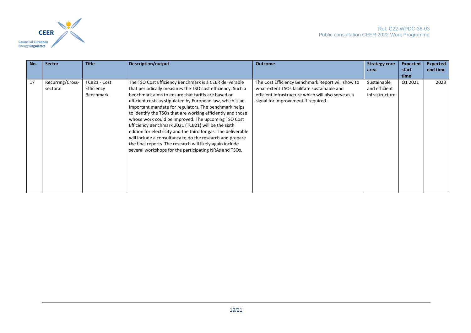

| No. | <b>Sector</b>                | <b>Title</b>                            | Description/output                                                                                                                                                                                                                                                                                                                                                                                                                                                                                                                                                                                                                                                                                                                    | <b>Outcome</b>                                                                                                                                                                                 | <b>Strategy core</b><br>area                   | <b>Expected</b><br>start<br>time | <b>Expected</b><br>end time |
|-----|------------------------------|-----------------------------------------|---------------------------------------------------------------------------------------------------------------------------------------------------------------------------------------------------------------------------------------------------------------------------------------------------------------------------------------------------------------------------------------------------------------------------------------------------------------------------------------------------------------------------------------------------------------------------------------------------------------------------------------------------------------------------------------------------------------------------------------|------------------------------------------------------------------------------------------------------------------------------------------------------------------------------------------------|------------------------------------------------|----------------------------------|-----------------------------|
| 17  | Recurring/Cross-<br>sectoral | TCB21 - Cost<br>Efficiency<br>Benchmark | The TSO Cost Efficiency Benchmark is a CEER deliverable<br>that periodically measures the TSO cost efficiency. Such a<br>benchmark aims to ensure that tariffs are based on<br>efficient costs as stipulated by European law, which is an<br>important mandate for regulators. The benchmark helps<br>to identify the TSOs that are working efficiently and those<br>whose work could be improved. The upcoming TSO Cost<br>Efficiency Benchmark 2021 (TCB21) will be the sixth<br>edition for electricity and the third for gas. The deliverable<br>will include a consultancy to do the research and prepare<br>the final reports. The research will likely again include<br>several workshops for the participating NRAs and TSOs. | The Cost Efficiency Benchmark Report will show to<br>what extent TSOs facilitate sustainable and<br>efficient infrastructure which will also serve as a<br>signal for improvement if required. | Sustainable<br>and efficient<br>infrastructure | Q1 2021                          | 2023                        |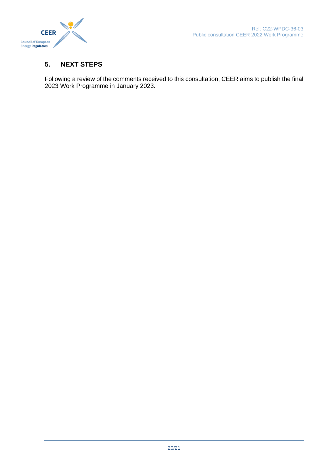#### <span id="page-19-0"></span>**5. NEXT STEPS**

Following a review of the comments received to this consultation, CEER aims to publish the final 2023 Work Programme in January 2023.